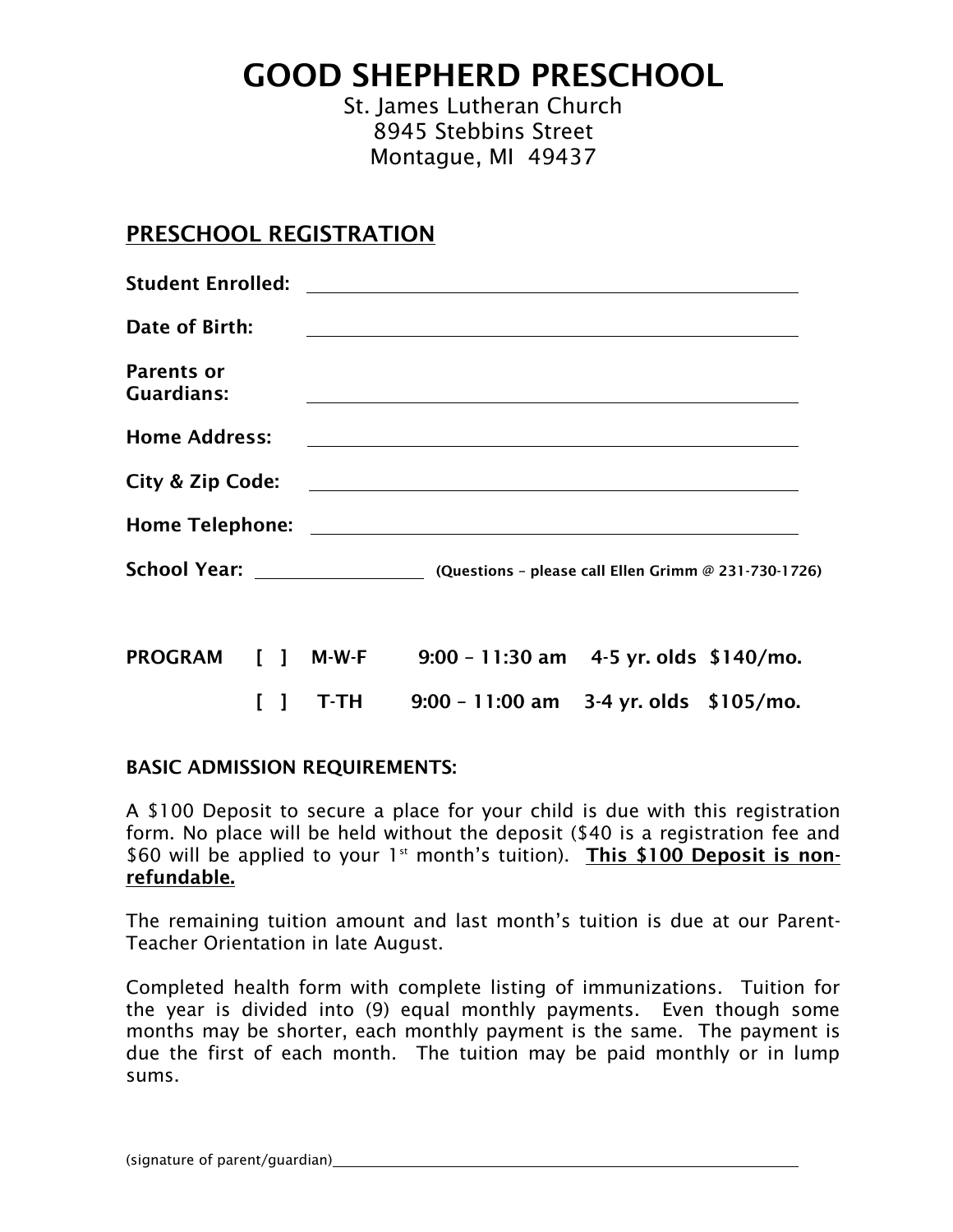GOOD SHEPHERD PRESCHOOL

St. James Lutheran Church 8945 Stebbins Street Montague, MI 49437

## PRESCHOOL REGISTRATION

| <b>Student Enrolled:</b>               |       |                                                                                                                      |  |
|----------------------------------------|-------|----------------------------------------------------------------------------------------------------------------------|--|
| Date of Birth:                         |       |                                                                                                                      |  |
| <b>Parents or</b><br><b>Guardians:</b> |       | <u> 1980 - Antonio Alemania, prima postala de la contrada de la contrada de la contrada de la contrada de la con</u> |  |
| <b>Home Address:</b>                   |       | <u> Andreas Andreas Andreas Andreas Andreas Andreas Andreas Andreas Andreas Andreas Andreas Andreas Andreas Andr</u> |  |
| City & Zip Code:                       |       | <u> 1980 - Andrea Barbara, amerikan personal (h. 1980).</u>                                                          |  |
|                                        |       |                                                                                                                      |  |
|                                        |       | School Year: _______________________ (Questions - please call Ellen Grimm @ 231-730-1726)                            |  |
|                                        |       | PROGRAM [ ] M-W-F 9:00 - 11:30 am 4-5 yr. olds \$140/mo.                                                             |  |
|                                        | T-TH. | $9:00 - 11:00$ am 3-4 yr. olds \$105/mo.                                                                             |  |

#### BASIC ADMISSION REQUIREMENTS:

A \$100 Deposit to secure a place for your child is due with this registration form. No place will be held without the deposit (\$40 is a registration fee and \$60 will be applied to your  $1<sup>st</sup>$  month's tuition). This \$100 Deposit is nonrefundable.

The remaining tuition amount and last month's tuition is due at our Parent-Teacher Orientation in late August.

Completed health form with complete listing of immunizations. Tuition for the year is divided into (9) equal monthly payments. Even though some months may be shorter, each monthly payment is the same. The payment is due the first of each month. The tuition may be paid monthly or in lump sums.